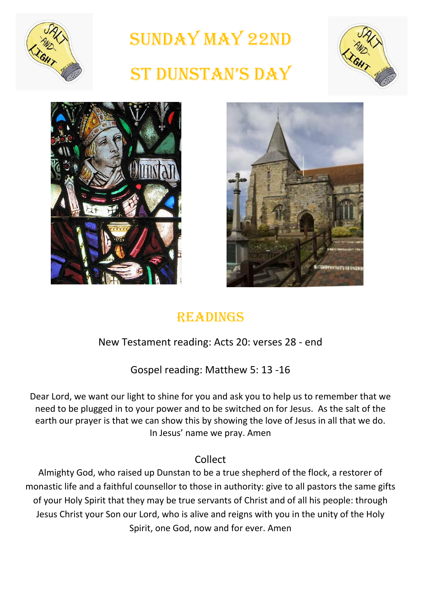

Sunday May 22nd

# St DunStan'S Day







## **READINGS**

#### New Testament reading: Acts 20: verses 28 - end

Gospel reading: Matthew 5: 13 -16

Dear Lord, we want our light to shine for you and ask you to help us to remember that we need to be plugged in to your power and to be switched on for Jesus. As the salt of the earth our prayer is that we can show this by showing the love of Jesus in all that we do. In Jesus' name we pray. Amen

#### Collect

Almighty God, who raised up Dunstan to be a true shepherd of the flock, a restorer of monastic life and a faithful counsellor to those in authority: give to all pastors the same gifts of your Holy Spirit that they may be true servants of Christ and of all his people: through Jesus Christ your Son our Lord, who is alive and reigns with you in the unity of the Holy Spirit, one God, now and for ever. Amen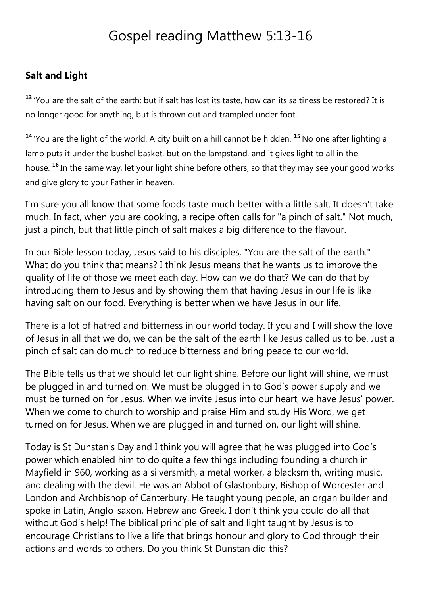# Gospel reading Matthew 5:13-16

#### **Salt and Light**

**<sup>13</sup>** 'You are the salt of the earth; but if salt has lost its taste, how can its saltiness be restored? It is no longer good for anything, but is thrown out and trampled under foot.

**<sup>14</sup>** 'You are the light of the world. A city built on a hill cannot be hidden. **<sup>15</sup>** No one after lighting a lamp puts it under the bushel basket, but on the lampstand, and it gives light to all in the house. **<sup>16</sup>** In the same way, let your light shine before others, so that they may see your good works and give glory to your Father in heaven.

I'm sure you all know that some foods taste much better with a little salt. It doesn't take much. In fact, when you are cooking, a recipe often calls for "a pinch of salt." Not much, just a pinch, but that little pinch of salt makes a big difference to the flavour.

In our Bible lesson today, Jesus said to his disciples, "You are the salt of the earth." What do you think that means? I think Jesus means that he wants us to improve the quality of life of those we meet each day. How can we do that? We can do that by introducing them to Jesus and by showing them that having Jesus in our life is like having salt on our food. Everything is better when we have Jesus in our life.

There is a lot of hatred and bitterness in our world today. If you and I will show the love of Jesus in all that we do, we can be the salt of the earth like Jesus called us to be. Just a pinch of salt can do much to reduce bitterness and bring peace to our world.

The Bible tells us that we should let our light shine. Before our light will shine, we must be plugged in and turned on. We must be plugged in to God's power supply and we must be turned on for Jesus. When we invite Jesus into our heart, we have Jesus' power. When we come to church to worship and praise Him and study His Word, we get turned on for Jesus. When we are plugged in and turned on, our light will shine.

Today is St Dunstan's Day and I think you will agree that he was plugged into God's power which enabled him to do quite a few things including founding a church in Mayfield in 960, working as a silversmith, a metal worker, a blacksmith, writing music, and dealing with the devil. He was an Abbot of Glastonbury, Bishop of Worcester and London and Archbishop of Canterbury. He taught young people, an organ builder and spoke in Latin, Anglo-saxon, Hebrew and Greek. I don't think you could do all that without God's help! The biblical principle of salt and light taught by Jesus is to encourage Christians to live a life that brings honour and glory to God through their actions and words to others. Do you think St Dunstan did this?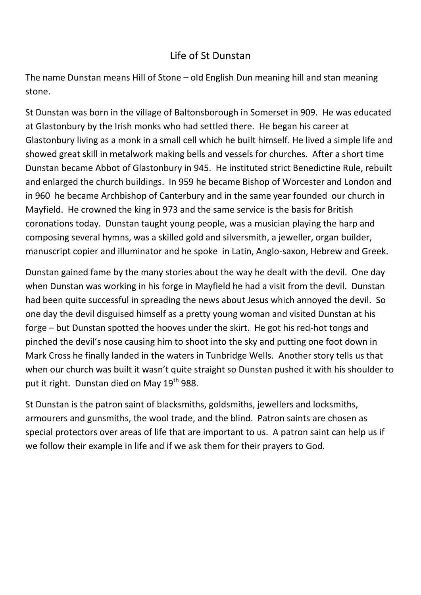#### Life of St Dunstan

The name Dunstan means Hill of Stone – old English Dun meaning hill and stan meaning stone.

St Dunstan was born in the village of Baltonsborough in Somerset in 909. He was educated at Glastonbury by the Irish monks who had settled there. He began his career at Glastonbury living as a monk in a small cell which he built himself. He lived a simple life and showed great skill in metalwork making bells and vessels for churches. After a short time Dunstan became Abbot of Glastonbury in 945. He instituted strict Benedictine Rule, rebuilt and enlarged the church buildings. In 959 he became Bishop of Worcester and London and in 960 he became Archbishop of Canterbury and in the same year founded our church in Mayfield. He crowned the king in 973 and the same service is the basis for British coronations today. Dunstan taught young people, was a musician playing the harp and composing several hymns, was a skilled gold and silversmith, a jeweller, organ builder, manuscript copier and illuminator and he spoke in Latin, Anglo-saxon, Hebrew and Greek.

Dunstan gained fame by the many stories about the way he dealt with the devil. One day when Dunstan was working in his forge in Mayfield he had a visit from the devil. Dunstan had been quite successful in spreading the news about Jesus which annoyed the devil. So one day the devil disguised himself as a pretty young woman and visited Dunstan at his forge – but Dunstan spotted the hooves under the skirt. He got his red-hot tongs and pinched the devil's nose causing him to shoot into the sky and putting one foot down in Mark Cross he finally landed in the waters in Tunbridge Wells. Another story tells us that when our church was built it wasn't quite straight so Dunstan pushed it with his shoulder to put it right. Dunstan died on May 19<sup>th</sup> 988.

St Dunstan is the patron saint of blacksmiths, goldsmiths, jewellers and locksmiths, armourers and gunsmiths, the wool trade, and the blind. Patron saints are chosen as special protectors over areas of life that are important to us. A patron saint can help us if we follow their example in life and if we ask them for their prayers to God.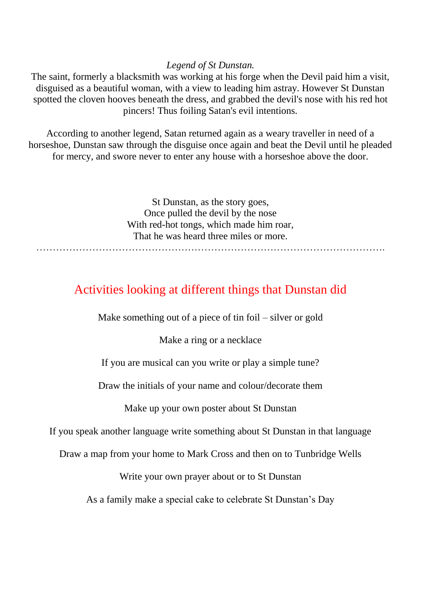#### *Legend of St Dunstan.*

The saint, formerly a blacksmith was working at his forge when the Devil paid him a visit, disguised as a beautiful woman, with a view to leading him astray. However St Dunstan spotted the cloven hooves beneath the dress, and grabbed the devil's nose with his red hot pincers! Thus foiling Satan's evil intentions.

According to another legend, Satan returned again as a weary traveller in need of a horseshoe, Dunstan saw through the disguise once again and beat the Devil until he pleaded for mercy, and swore never to enter any house with a horseshoe above the door.

> St Dunstan, as the story goes, Once pulled the devil by the nose With red-hot tongs, which made him roar, That he was heard three miles or more.

#### Activities looking at different things that Dunstan did

Make something out of a piece of tin foil – silver or gold

Make a ring or a necklace

If you are musical can you write or play a simple tune?

Draw the initials of your name and colour/decorate them

Make up your own poster about St Dunstan

If you speak another language write something about St Dunstan in that language

Draw a map from your home to Mark Cross and then on to Tunbridge Wells

Write your own prayer about or to St Dunstan

As a family make a special cake to celebrate St Dunstan's Day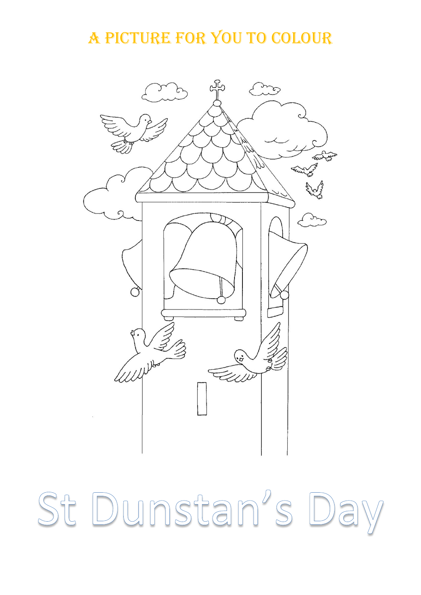A picture for you to colour



St Dunstan's Day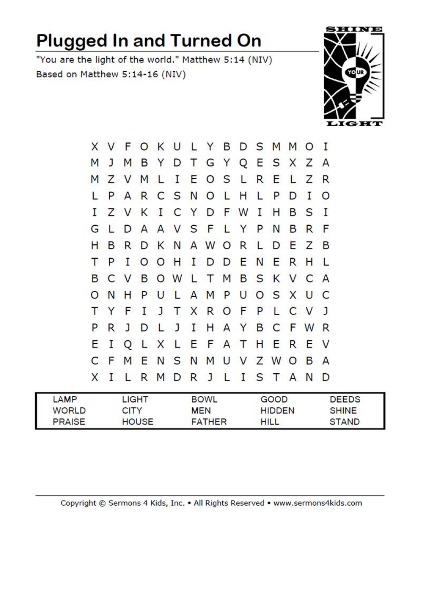# **Plugged In and Turned On**

"You are the light of the world." Matthew 5:14 (NIV) Based on Matthew 5:14-16 (NIV)



|         |             |         |  |  | X V F O K U L Y B D S M M O I |  |  |   |             |                |  |
|---------|-------------|---------|--|--|-------------------------------|--|--|---|-------------|----------------|--|
| M       | J           | M       |  |  | <b>BYDTGYQESXZ</b>            |  |  |   |             |                |  |
| M       |             | Z V M L |  |  | I E O S L R E L Z             |  |  |   |             | R              |  |
|         |             |         |  |  | PARCSNOLHLPD                  |  |  |   | $\mathbf I$ | $\circ$        |  |
| I       |             |         |  |  | Z V K I C Y D F W I H B S     |  |  |   |             | $\mathbf{I}$   |  |
| G       | L.          |         |  |  | DAAVSFLYPN                    |  |  | B | R           | F              |  |
| н       | B           |         |  |  | RDKNAWORLDEZ                  |  |  |   |             | B              |  |
| т       | P           |         |  |  | <b>IOOHIDDENERH</b>           |  |  |   |             |                |  |
| B       |             |         |  |  | C V B O W L T M B S K V C     |  |  |   |             | $\overline{A}$ |  |
| $\circ$ | N           | н       |  |  | PULAMPUOSXU                   |  |  |   |             | $\mathsf{C}$   |  |
|         | Y           |         |  |  | F I J T X R O F P L C V J     |  |  |   |             |                |  |
| P       | R           |         |  |  | J D L J I H A Y B C F W R     |  |  |   |             |                |  |
| E       | $\mathbf I$ |         |  |  | Q L X L E F A T H E R E       |  |  |   |             | <b>V</b>       |  |
|         |             |         |  |  | C F M E N S N M U V Z W O B A |  |  |   |             |                |  |
|         | X I         |         |  |  | L R M D R J L I S T A N       |  |  |   |             | D              |  |
|         |             |         |  |  |                               |  |  |   |             |                |  |

| LAMP          | LIGHT        | <b>BOWL</b>   | GOOD          | <b>DEEDS</b> |
|---------------|--------------|---------------|---------------|--------------|
| <b>WORLD</b>  | <b>CITY</b>  | <b>MEN</b>    | <b>HIDDEN</b> | <b>SHINE</b> |
| <b>PRAISE</b> | <b>HOUSE</b> | <b>FATHER</b> | <b>HILL</b>   | <b>STAND</b> |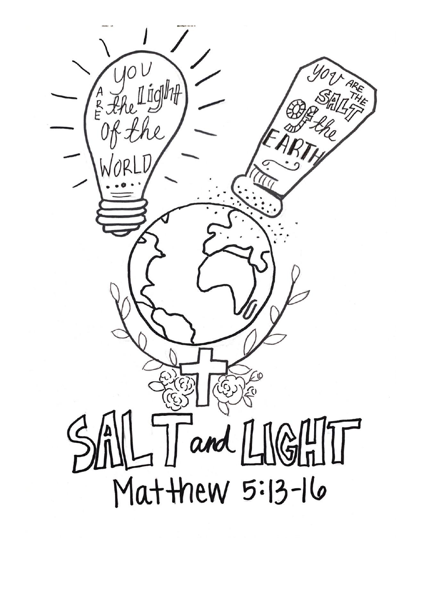